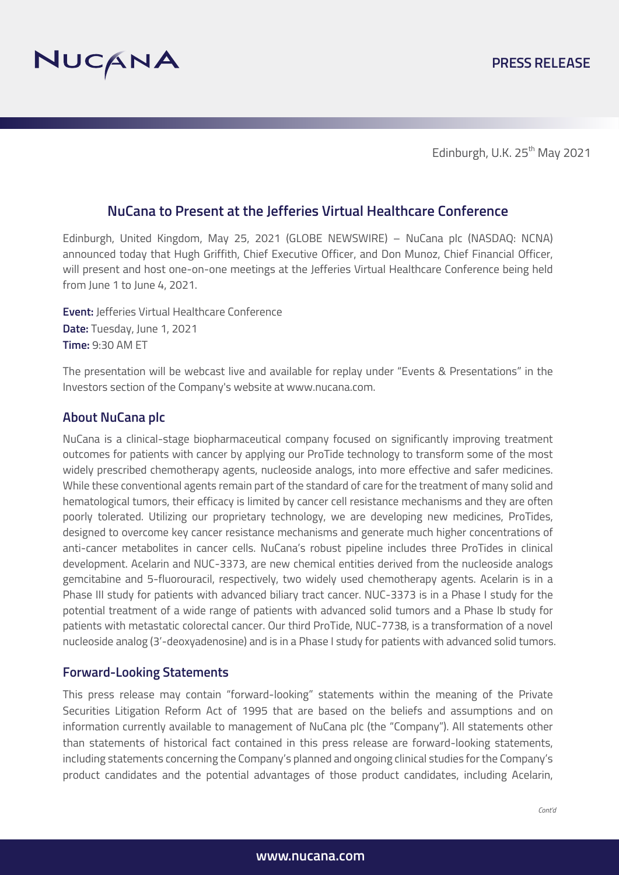

Edinburgh, U.K. 25<sup>th</sup> May 2021

# **NuCana to Present at the Jefferies Virtual Healthcare Conference**

Edinburgh, United Kingdom, May 25, 2021 (GLOBE NEWSWIRE) – NuCana plc (NASDAQ: NCNA) announced today that Hugh Griffith, Chief Executive Officer, and Don Munoz, Chief Financial Officer, will present and host one-on-one meetings at the Jefferies Virtual Healthcare Conference being held from June 1 to June 4, 2021.

**Event:** Jefferies Virtual Healthcare Conference **Date:** Tuesday, June 1, 2021 **Time:** 9:30 AM ET

The presentation will be webcast live and available for replay under "Events & Presentations" in the Investors section of the Company's website at www.nucana.com.

## **About NuCana plc**

NuCana is a clinical-stage biopharmaceutical company focused on significantly improving treatment outcomes for patients with cancer by applying our ProTide technology to transform some of the most widely prescribed chemotherapy agents, nucleoside analogs, into more effective and safer medicines. While these conventional agents remain part of the standard of care for the treatment of many solid and hematological tumors, their efficacy is limited by cancer cell resistance mechanisms and they are often poorly tolerated. Utilizing our proprietary technology, we are developing new medicines, ProTides, designed to overcome key cancer resistance mechanisms and generate much higher concentrations of anti-cancer metabolites in cancer cells. NuCana's robust pipeline includes three ProTides in clinical development. Acelarin and NUC-3373, are new chemical entities derived from the nucleoside analogs gemcitabine and 5-fluorouracil, respectively, two widely used chemotherapy agents. Acelarin is in a Phase III study for patients with advanced biliary tract cancer. NUC-3373 is in a Phase I study for the potential treatment of a wide range of patients with advanced solid tumors and a Phase Ib study for patients with metastatic colorectal cancer. Our third ProTide, NUC-7738, is a transformation of a novel nucleoside analog (3'-deoxyadenosine) and is in a Phase I study for patients with advanced solid tumors.

## **Forward-Looking Statements**

This press release may contain "forward-looking" statements within the meaning of the Private Securities Litigation Reform Act of 1995 that are based on the beliefs and assumptions and on information currently available to management of NuCana plc (the "Company"). All statements other than statements of historical fact contained in this press release are forward-looking statements, including statements concerning the Company's planned and ongoing clinical studies for the Company's product candidates and the potential advantages of those product candidates, including Acelarin,